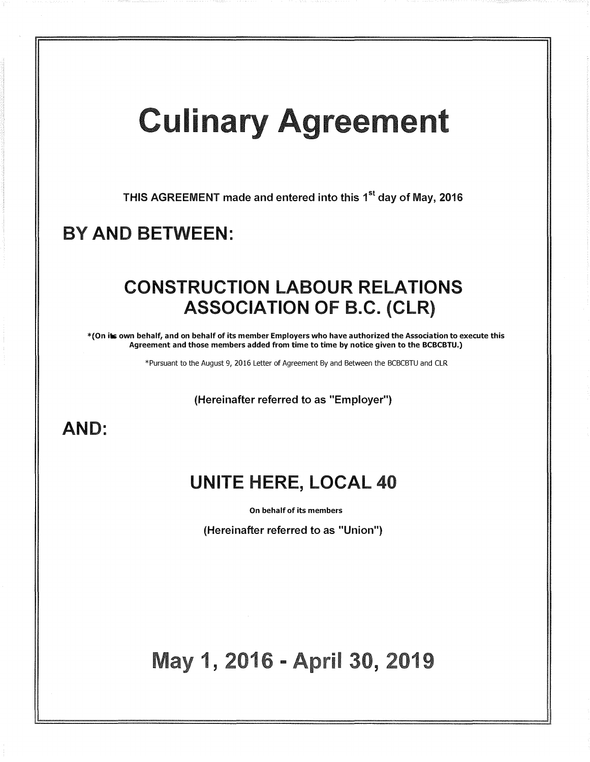# **Culinary Agreement**

THIS AGREEMENT made and entered into this 1<sup>st</sup> day of May, 2016

## BY AND BETWEEN:

### CONSTRUCTION LABOUR RELATIONS ASSOCIATION OF B.C. (CLR)

\*(On its own behalf, and on behalf of its member Employers who have authorized the Association to execute this Agreement and those members added from time to time by notice given to the BCBCBTU.)

\*Pursuant to the August 9, 2016 Letter of Agreement By and Between the BCBCBTU and CLR

(Hereinafter referred to as "Employer")

### AND:

## UNITE HERE, LOCAL 40

On behalf of its members

(Hereinafter referred to as "Union")

## 1, 2016 - April 30, 201<sup>.</sup>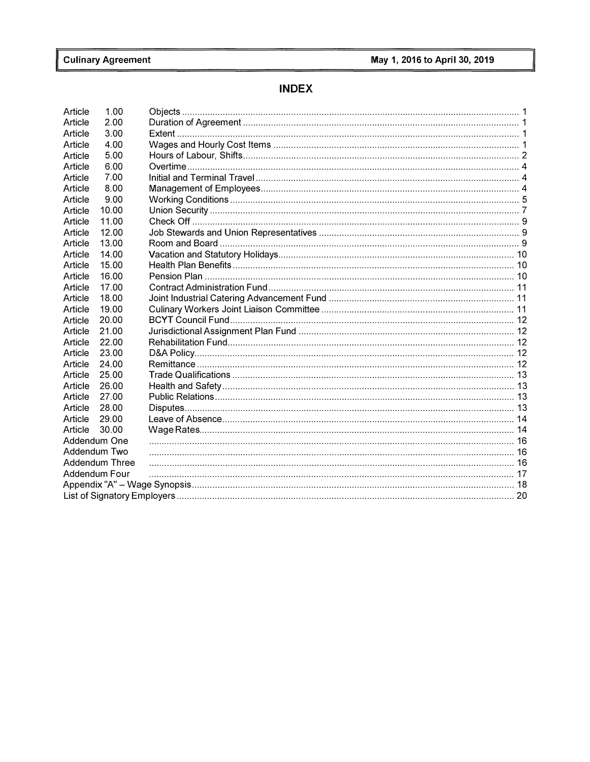### **INDEX**

| Article      | 1.00                  |  |
|--------------|-----------------------|--|
| Article      | 2.00                  |  |
| Article      | 3.00                  |  |
| Article      | 4.00                  |  |
| Article      | 5.00                  |  |
| Article      | 6.00                  |  |
| Article      | 7.00                  |  |
| Article      | 8.00                  |  |
| Article      | 9.00                  |  |
| Article      | 10.00                 |  |
| Article      | 11.00                 |  |
| Article      | 12.00                 |  |
| Article      | 13.00                 |  |
| Article      | 14.00                 |  |
| Article      | 15.00                 |  |
| Article      | 16.00                 |  |
| Article      | 17.00                 |  |
| Article      | 18.00                 |  |
| Article      | 19.00                 |  |
| Article      | 20.00                 |  |
| Article      | 21.00                 |  |
| Article      | 22.00                 |  |
| Article      | 23.00                 |  |
| Article      | 24.00                 |  |
| Article      | 25.00                 |  |
| Article      | 26.00                 |  |
| Article      | 27.00                 |  |
| Article      | 28.00                 |  |
| Article      | 29.00                 |  |
| Article      | 30.00                 |  |
| Addendum One |                       |  |
| Addendum Two |                       |  |
|              | <b>Addendum Three</b> |  |
|              | Addendum Four         |  |
|              |                       |  |
|              |                       |  |
|              |                       |  |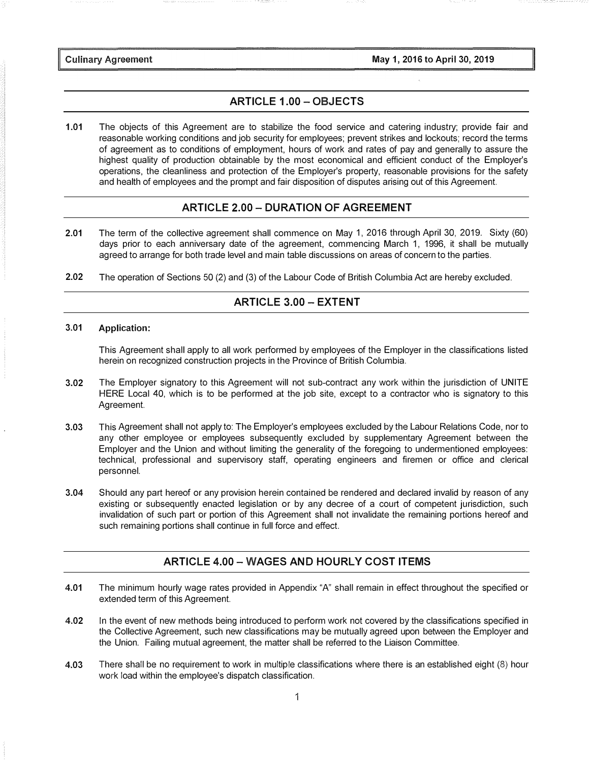May 1, 2016 to April 30, 2019

**Culinary Agreement** 

#### ARTICLE 1.00 - OBJECTS

1.01 The objects of this Agreement are to stabilize the food service and catering industry; provide fair and reasonable working conditions and job security for employees; prevent strikes and lockouts; record the terms of agreement as to conditions of employment, hours of work and rates of pay and generally to assure the highest quality of production obtainable by the most economical and efficient conduct of the Employer's operations, the cleanliness and protection of the Employer's property, reasonable provisions for the safety and health of employees and the prompt and fair disposition of disputes arising out of this Agreement.

#### ARTICLE 2.00 - DURATION OF AGREEMENT

- 2.01 The term of the collective agreement shall commence on May 1, 2016 through April 30, 2019. Sixty (60) days prior to each anniversary date of the agreement, commencing March 1, 1996, it shall be mutually agreed to arrange for both trade level and main table discussions on areas of concern to the parties.
- 2.02 The operation of Sections 50 (2) and (3) of the Labour Code of British Columbia Act are hereby excluded.

#### ARTICLE 3.00 - EXTENT

#### 3.01 Application:

This Agreement shall apply to all work performed by employees of the Employer in the classifications listed herein on recognized construction projects in the Province of British Columbia.

- 3.02 The Employer signatory to this Agreement will not sub-contract any work within the jurisdiction of UNITE HERE Local 40, which is to be performed at the job site, except to a contractor who is signatory to this Agreement.
- 3.03 This Agreement shall not apply to: The Employer's employees excluded by the Labour Relations Code, nor to any other employee or employees subsequently excluded by supplementary Agreement between the Employer and the Union and without limiting the generality of the foregoing to undermentioned employees: technical, professional and supervisory staff, operating engineers and firemen or office and clerical personnel.
- 3.04 Should any part hereof or any provision herein contained be rendered and declared invalid by reason of any existing or subsequently enacted legislation or by any decree of a court of competent jurisdiction, such invalidation of such part or portion of this Agreement shall not invalidate the remaining portions hereof and such remaining portions shall continue in full force and effect.

#### ARTICLE 4.00 - WAGES AND HOURLY COST ITEMS

- 4.01 The minimum hourly wage rates provided in Appendix "A" shall remain in effect throughout the specified or extended term of this Agreement.
- 4.02 In the event of new methods being introduced to perform work not covered by the classifications specified in the Collective Agreement, such new classifications may be mutually agreed upon between the Employer and the Union. Failing mutual agreement, the matter shall be referred to the Liaison Committee.
- 4.03 There shall be no requirement to work in multiple classifications where there is an established eight (8) hour work load within the employee's dispatch classification.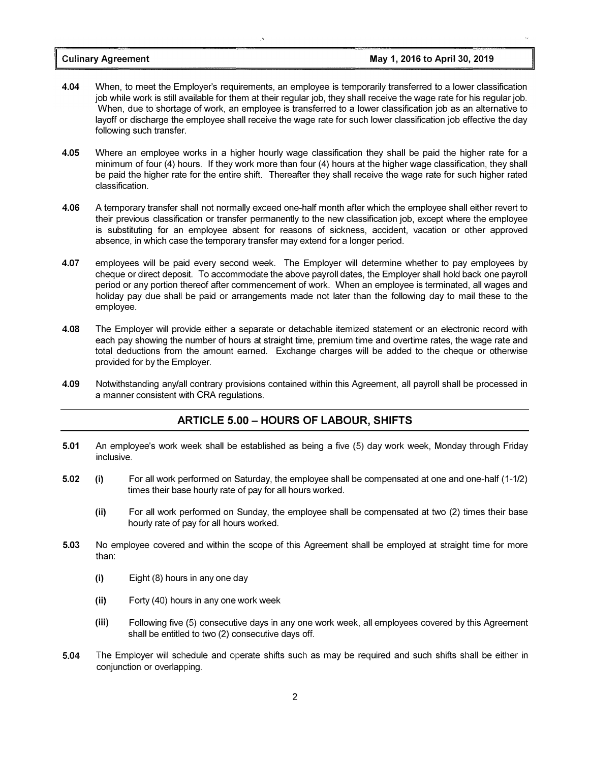- 4.04 When, to meet the Employer's requirements, an employee is temporarily transferred to a lower classification job while work is still available for them at their regular job, they shall receive the wage rate for his regular job. When, due to shortage of work, an employee is transferred to a lower classification job as an alternative to layoff or discharge the employee shall receive the wage rate for such lower classification job effective the day following such transfer.
- 4.05 Where an employee works in a higher hourly wage classification they shall be paid the higher rate for a minimum of four (4) hours. If they work more than four (4) hours at the higher wage classification, they shall be paid the higher rate for the entire shift. Thereafter they shall receive the wage rate for such higher rated classification.
- 4.06 A temporary transfer shall not normally exceed one-half month after which the employee shall either revert to their previous classification or transfer permanently to the new classification job, except where the employee is substituting for an employee absent for reasons of sickness, accident, vacation or other approved absence, in which case the temporary transfer may extend for a longer period.
- 4.07 employees will be paid every second week. The Employer will determine whether to pay employees by cheque or direct deposit. To accommodate the above payroll dates, the Employer shall hold back one payroll period or any portion thereof after commencement of work. When an employee is terminated, all wages and holiday pay due shall be paid or arrangements made not later than the following day to mail these to the employee.
- 4.08 The Employer will provide either a separate or detachable itemized statement or an electronic record with each pay showing the number of hours at straight time, premium time and overtime rates, the wage rate and total deductions from the amount earned. Exchange charges will be added to the cheque or otherwise provided for by the Employer.
- 4.09 Notwithstanding any/all contrary provisions contained within this Agreement, all payroll shall be processed in a manner consistent with CRA regulations.

#### ARTICLE 5.00 - HOURS OF LABOUR, SHIFTS

- 5.01 An employee's work week shall be established as being a five (5) day work week, Monday through Friday inclusive.
- 5.02 (i) For all work performed on Saturday, the employee shall be compensated at one and one-half (1-1/2) times their base hourly rate of pay for all hours worked.
	- (ii) For all work performed on Sunday, the employee shall be compensated at two (2) times their base hourly rate of pay for all hours worked.
- 5.03 No employee covered and within the scope of this Agreement shall be employed at straight time for more than:
	- (i) Eight (8) hours in any one day
	- (ii) Forty (40) hours in any one work week
	- (iii) Following five (5) consecutive days in any one work week, all employees covered by this Agreement shall be entitled to two (2) consecutive days off.
- 5.04 The Employer will schedule and operate shifts such as may be required and such shifts shall be either in conjunction or overlapping.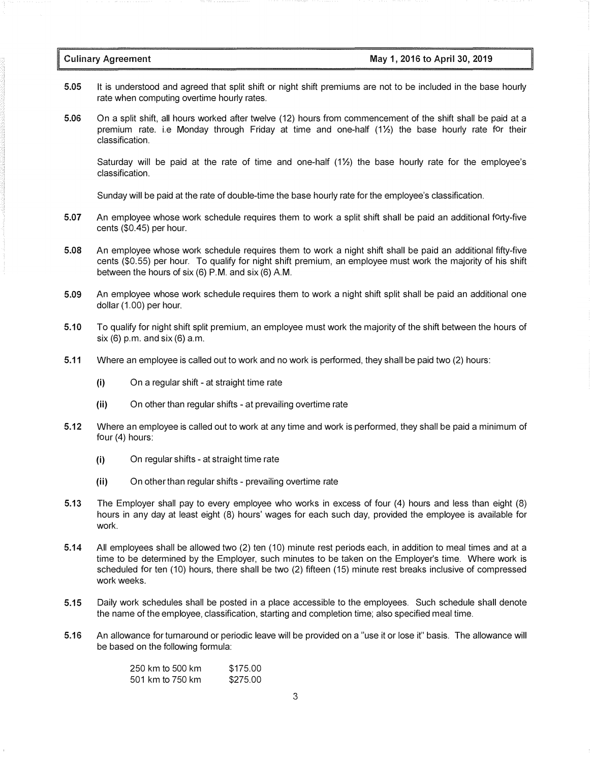- 5.05 It is understood and agreed that split shift or night shift premiums are not to be included in the base hourly rate when computing overtime hourly rates.
- 5.06 On a split shift, all hours worked after twelve (12) hours from commencement of the shift shall be paid at a premium rate. i.e Monday through Friday at time and one-half  $(1\frac{1}{2})$  the base hourly rate for their classification.

Saturday will be paid at the rate of time and one-half  $(1\frac{1}{2})$  the base hourly rate for the employee's classification.

Sunday will be paid at the rate of double-time the base hourly rate for the employee's classification.

- 5.07 An employee whose work schedule requires them to work a split shift shall be paid an additional forty-five cents (\$0.45) per hour.
- 5.08 An employee whose work schedule requires them to work a night shift shall be paid an additional fifty-five cents (\$0.55) per hour. To qualify for night shift premium, an employee must work the majority of his shift between the hours of six  $(6)$  P.M. and six  $(6)$  A.M.
- 5.09 An employee whose work schedule requires them to work a night shift split shall be paid an additional one dollar (1.00) per hour.
- 5.10 To qualify for night shift split premium, an employee must work the majority of the shift between the hours of six (6) p.m. and six (6) a.m.
- 5.11 Where an employee is called out to work and no work is performed, they shall be paid two (2) hours:
	- (i) On a regular shift at straight time rate
	- (ii) On other than regular shifts at prevailing overtime rate
- 5.12 Where an employee is called out to work at any time and work is performed, they shall be paid a minimum of four (4) hours:
	- (i) On regular shifts at straight time rate
	- (ii) On other than regular shifts prevailing overtime rate
- 5.13 The Employer shall pay to every employee who works in excess of four (4) hours and less than eight (8) hours in any day at least eight (8) hours' wages for each such day, provided the employee is available for work.
- 5.14 All employees shall be allowed two (2) ten (10) minute rest periods each, in addition to meal times and at a time to be determined by the Employer, such minutes to be taken on the Employer's time. Where work is scheduled for ten (10) hours, there shall be two (2) fifteen (15) minute rest breaks inclusive of compressed work weeks.
- 5.15 Daily work schedules shall be posted in a place accessible to the employees. Such schedule shall denote the name of the employee, classification, starting and completion time; also specified meal time.
- 5.16 An allowance for turnaround or periodic leave will be provided on a "use it or lose it" basis. The allowance will be based on the following formula:

| 250 km to 500 km | \$175.00 |
|------------------|----------|
| 501 km to 750 km | \$275.00 |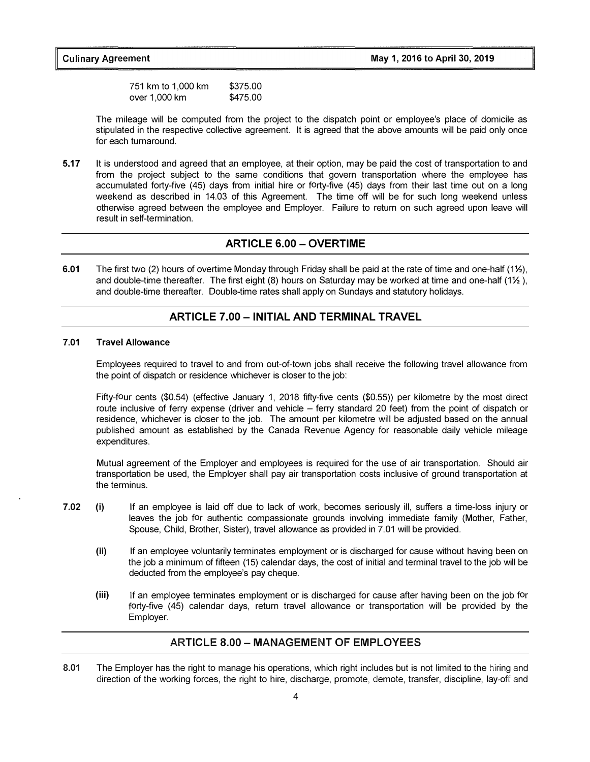751 km to 1,000 km over 1, 000 km \$375.00 \$475.00

The mileage will be computed from the project to the dispatch point or employee's place of domicile as stipulated in the respective collective agreement. It is agreed that the above amounts will be paid only once for each turnaround.

5.17 It is understood and agreed that an employee, at their option, may be paid the cost of transportation to and from the project subject to the same conditions that govern transportation where the employee has accumulated forty-five (45) days from initial hire or forty-five (45) days from their last time out on a long weekend as described in 14.03 of this Agreement. The time off will be for such long weekend unless otherwise agreed between the employee and Employer. Failure to return on such agreed upon leave will result in self-termination.

#### ARTICLE 6.00 - OVERTIME

6.01 The first two (2) hours of overtime Monday through Friday shall be paid at the rate of time and one-half  $(12)$ , and double-time thereafter. The first eight (8) hours on Saturday may be worked at time and one-half (1% ), and double-time thereafter. Double-time rates shall apply on Sundays and statutory holidays.

#### ARTICLE 7.00 - INITIAL AND TERMINAL TRAVEL

#### 7 .01 Travel Allowance

Employees required to travel to and from out-of-town jobs shall receive the following travel allowance from the point of dispatch or residence whichever is closer to the job:

Fifty-four cents (\$0.54) (effective January 1, 2018 fifty-five cents (\$0.55)) per kilometre by the most direct route inclusive of ferry expense (driver and vehicle - ferry standard 20 feet) from the point of dispatch or residence, whichever is closer to the job. The amount per kilometre will be adjusted based on the annual published amount as established by the Canada Revenue Agency for reasonable daily vehicle mileage expenditures.

Mutual agreement of the Employer and employees is required for the use of air transportation. Should air transportation be used, the Employer shall pay air transportation costs inclusive of ground transportation at the terminus.

- 7.02 (i) If an employee is laid off due to lack of work, becomes seriously ill, suffers a time-loss injury or leaves the job for authentic compassionate grounds involving immediate family (Mother, Father, Spouse, Child, Brother, Sister), travel allowance as provided in 7.01 will be provided.
	- (ii) If an employee voluntarily terminates employment or is discharged for cause without having been on the job a minimum of fifteen (15) calendar days, the cost of initial and terminal travel to the job will be deducted from the employee's pay cheque.
	- (iii) If an employee terminates employment or is discharged for cause after having been on the job for forty-five (45) calendar days, return travel allowance or transportation will be provided by the Employer.

#### ARTICLE 8.00 - MANAGEMENT OF EMPLOYEES

8.01 The Employer has the right to manage his operations, which right includes but is not limited to the hiring and direction of the working forces, the right to hire, discharge, promote, demote, transfer, discipline, lay-off and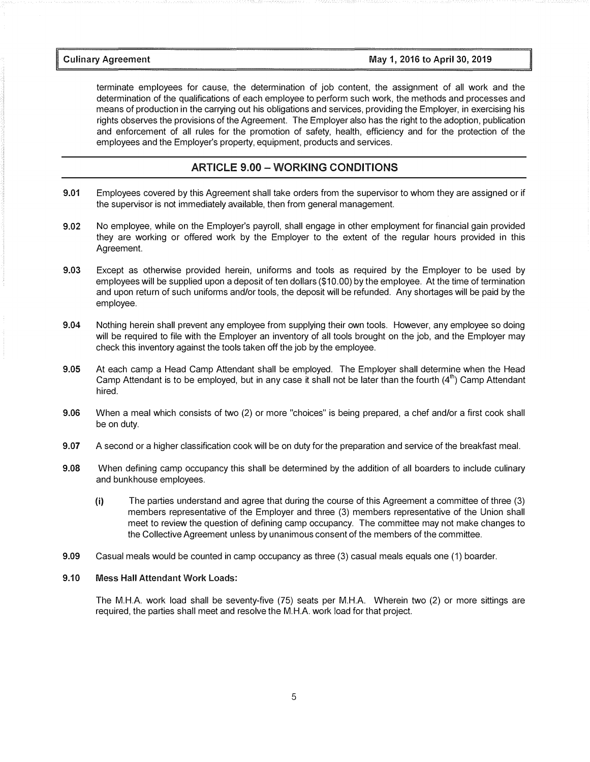terminate employees for cause, the determination of job content, the assignment of all work and the determination of the qualifications of each employee to perform such work, the methods and processes and means of production in the carrying out his obligations and services, providing the Employer, in exercising his rights observes the provisions of the Agreement. The Employer also has the right to the adoption, publication and enforcement of all rules for the promotion of safety, health, efficiency and for the protection of the employees and the Employer's property, equipment, products and services.

#### ARTICLE 9.00 - WORKING CONDITIONS

- 9.01 Employees covered by this Agreement shall take orders from the supervisor to whom they are assigned or if the supervisor is not immediately available, then from general management.
- 9.02 No employee, while on the Employer's payroll, shall engage in other employment for financial gain provided they are working or offered work by the Employer to the extent of the regular hours provided in this Agreement.
- 9.03 Except as otherwise provided herein, uniforms and tools as required by the Employer to be used by employees will be supplied upon a deposit of ten dollars (\$10.00) by the employee. At the time of termination and upon return of such uniforms and/or tools, the deposit will be refunded. Any shortages will be paid by the employee.
- 9.04 Nothing herein shall prevent any employee from supplying their own tools. However, any employee so doing will be required to file with the Employer an inventory of all tools brought on the job, and the Employer may check this inventory against the tools taken off the job by the employee.
- 9.05 At each camp a Head Camp Attendant shall be employed. The Employer shall determine when the Head Camp Attendant is to be employed, but in any case it shall not be later than the fourth  $(4<sup>th</sup>)$  Camp Attendant hired.
- 9.06 When a meal which consists of two (2) or more "choices" is being prepared, a chef and/or a first cook shall be on duty.
- 9.07 A second or a higher classification cook will be on duty for the preparation and service of the breakfast meal.
- 9.08 When defining camp occupancy this shall be determined by the addition of all boarders to include culinary and bunkhouse employees.
	- (i) The parties understand and agree that during the course of this Agreement a committee of three (3) members representative of the Employer and three (3) members representative of the Union shall meet to review the question of defining camp occupancy. The committee may not make changes to the Collective Agreement unless by unanimous consent of the members of the committee.
- 9.09 Casual meals would be counted in camp occupancy as three (3) casual meals equals one (1) boarder.

#### 9.10 Mess Hall Attendant Work Loads:

The M.H.A. work load shall be seventy-five (75) seats per M.H.A. Wherein two (2) or more sittings are required, the parties shall meet and resolve the M.H.A. work load for that project.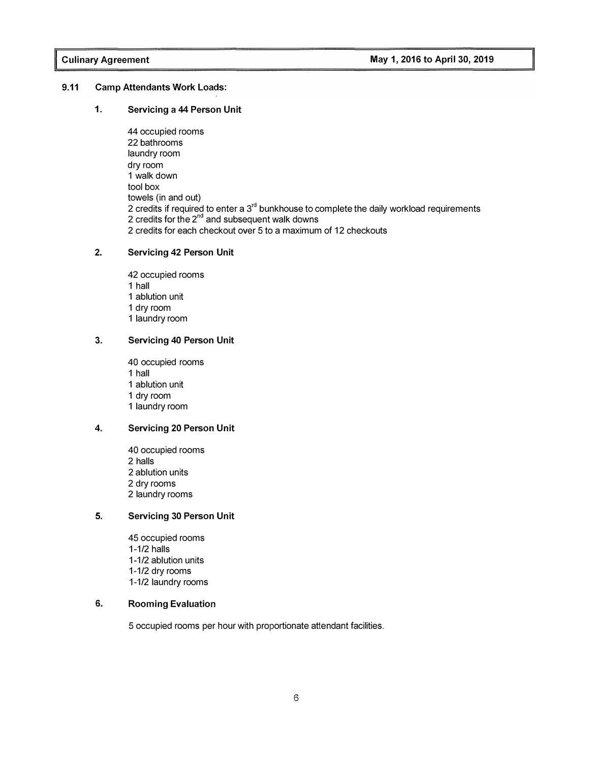#### 9.11 Camp Attendants Work Loads:

#### 1. Servicing a 44 Person Unit

44 occupied rooms 22 bathrooms laundry room dry room 1 walk down tool box towels (in and out) 2 credits if required to enter a  $3<sup>rd</sup>$  bunkhouse to complete the daily workload requirements  $\frac{2}{3}$  credits for the  $2^{nd}$  and subsequent walk downs 2 credits for each checkout over 5 to a maximum of 12 checkouts

#### 2. Servicing 42 Person Unit

occupied rooms 1 hall ablution unit dry room laundry room

#### 3. Servicing 40 Person Unit

occupied rooms 1 hall ablution unit dry room laundry room

#### 4. Servicing 20 Person Unit

occupied rooms 2 halls ablution units dry rooms laundry rooms

#### 5. Servicing 30 Person Unit

45 occupied rooms 1-1/2 halls 1-1/2 ablution units 1-1/2 dry rooms 1-1/2 laundry rooms

#### 6. Rooming Evaluation

5 occupied rooms per hour with proportionate attendant facilities.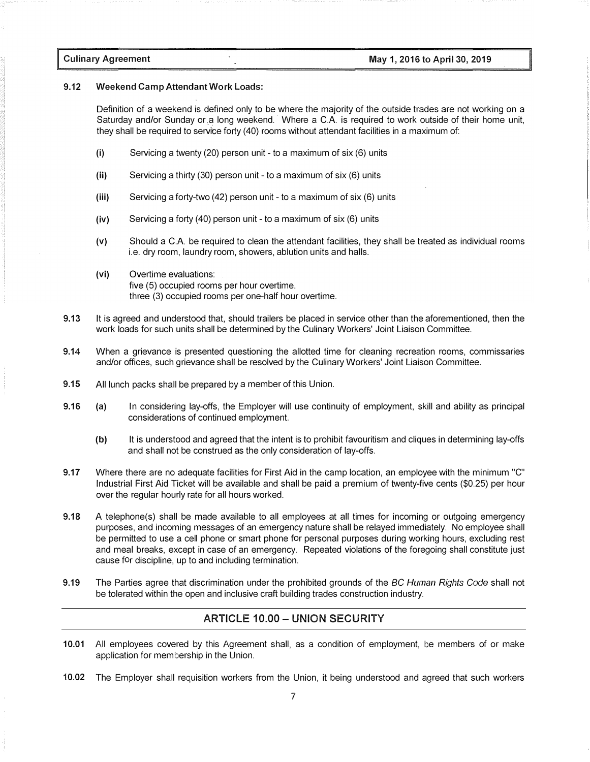Culinary Agreement

#### 9.12 Weekend Camp Attendant Work Loads:

Definition of a weekend is defined only to be where the majority of the outside trades are not working on a Saturday and/or Sunday or .a long weekend. Where a CA is required to work outside of their home unit, they shall be required to servrce forty (40) rooms without attendant facilities in a maximum of:

- (i) Servicing a twenty (20) person unit to a maximum of six (6) units
- (ii) Servicing a thirty (30) person unit to a maximum of six (6) units
- (iii) Servicing a forty-two (42) person unit to a maximum of six (6) units
- (iv) Servicing a forty (40) person unit to a maximum of six (6) units
- (v) Should a CA be required to clean the attendant facilities, they shall be treated as individual rooms i.e. dry room, laundry room, showers, ablution units and halls.
- (vi) Overtime evaluations: five (5) occupied rooms per hour overtime. three (3) occupied rooms per one-half hour overtime.
- 9.13 It is agreed and understood that, should trailers be placed in service other than the aforementioned, then the work loads for such units shall be determined by the Culinary Workers' Joint Liaison Committee.
- 9.14 When a grievance is presented questioning the allotted time for cleaning recreation rooms, commissaries and/or offices, such grievance shall be resolved by the Culinary Workers' Joint Liaison Committee.
- 9.15 All lunch packs shall be prepared by a member of this Union.
- 9.16 (a) In considering lay-offs, the Employer will use continuity of employment, skill and ability as principal considerations of continued employment.
	- (b) It is understood and agreed that the intent is to prohibit favouritism and cliques in determining lay-offs and shall not be construed as the only consideration of lay-offs.
- 9.17 Where there are no adequate facilities for First Aid in the camp location, an employee with the minimum "C" Industrial First Aid Ticket will be available and shall be paid a premium of twenty-five cents (\$0.25) per hour over the regular hourly rate for all hours worked.
- 9.18 A telephone(s) shall be made available to all employees at all times for incoming or outgoing emergency purposes, and incoming messages of an emergency nature shall be relayed immediately. No employee shall be permitted to use a cell phone or smart phone for personal purposes during working hours, excluding rest and meal breaks, except in case of an emergency. Repeated violations of the foregoing shall constitute just cause for discipline, up to and including termination.
- 9.19 The Parties agree that discrimination under the prohibited grounds of the BC Human Rights Code shall not be tolerated within the open and inclusive craft building trades construction industry.

#### ARTICLE 10.00 - UNION SECURITY

- 10.01 All employees covered by this Agreement shall, as a condition of employment, be members of or make application for membership in the Union.
- 10.02 The Employer shall requisition workers from the Union, it being understood and agreed that such workers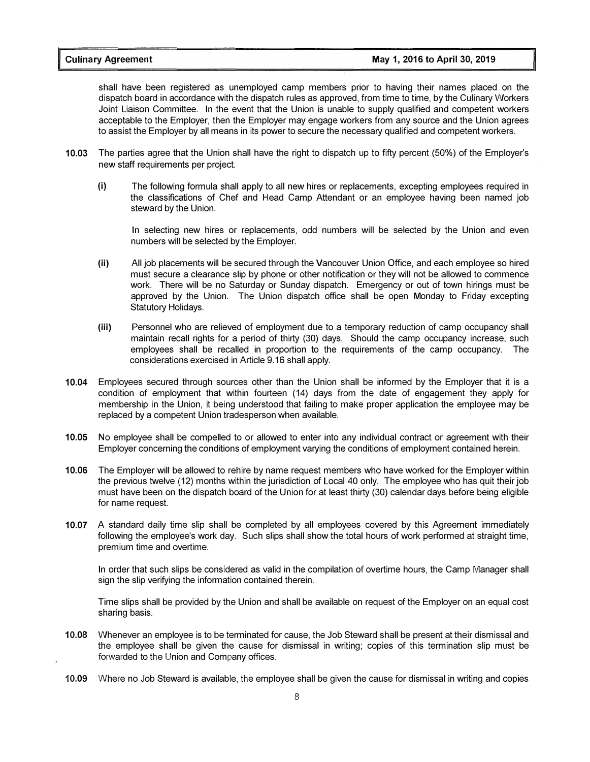shall have been registered as unemployed camp members prior to having their names placed on the dispatch board in accordance with the dispatch rules as approved, from time to time, by the Culinary Workers Joint Liaison Committee. In the event that the Union is unable to supply qualified and competent workers acceptable to the Employer, then the Employer may engage workers from any source and the Union agrees to assist the Employer by all means in its power to secure the necessary qualified and competent workers.

- 10.03 The parties agree that the Union shall have the right to dispatch up to fifty percent (50%) of the Employer's new staff requirements per project.
	- (i) The following formula shall apply to all new hires or replacements, excepting employees required in the classifications of Chef and Head Camp Attendant or an employee having been named job steward by the Union.

In selecting new hires or replacements, odd numbers will be selected by the Union and even numbers will be selected by the Employer.

- (ii) All job placements will be secured through the Vancouver Union Office, and each employee so hired must secure a clearance slip by phone or other notification or they will not be allowed to commence work. There will be no Saturday or Sunday dispatch. Emergency or out of town hirings must be approved by the Union. The Union dispatch office shall be open Monday to Friday excepting Statutory Holidays.
- (iii) Personnel who are relieved of employment due to a temporary reduction of camp occupancy shall maintain recall rights for a period of thirty (30) days. Should the camp occupancy increase, such employees shall be recalled in proportion to the requirements of the camp occupancy. The considerations exercised in Article 9.16 shall apply.
- 10.04 Employees secured through sources other than the Union shall be informed by the Employer that it is a condition of employment that within fourteen (14) days from the date of engagement they apply for membership in the Union, it being understood that failing to make proper application the employee may be replaced by a competent Union tradesperson when available.
- 10.05 No employee shall be compelled to or allowed to enter into any individual contract or agreement with their Employer concerning the conditions of employment varying the conditions of employment contained herein.
- 10.06 The Employer will be allowed to rehire by name request members who have worked for the Employer within the previous twelve (12) months within the jurisdiction of Local 40 only. The employee who has quit their job must have been on the dispatch board of the Union for at least thirty (30) calendar days before being eligible for name request.
- 10.07 A standard daily time slip shall be completed by all employees covered by this Agreement immediately following the employee's work day. Such slips shall show the total hours of work performed at straight time, premium time and overtime.

In order that such slips be considered as valid in the compilation of overtime hours, the Camp Manager shall sign the slip verifying the information contained therein.

Time slips shall be provided by the Union and shall be available on request of the Employer on an equal cost sharing basis.

- 10.08 Whenever an employee is to be terminated for cause, the Job Steward shall be present at their dismissal and the employee shall be given the cause for dismissal in writing; copies of this termination slip must be forwarded to the Union and Company offices.
- 10.09 Where no Job Steward is available, the employee shall be given the cause for dismissal in writing and copies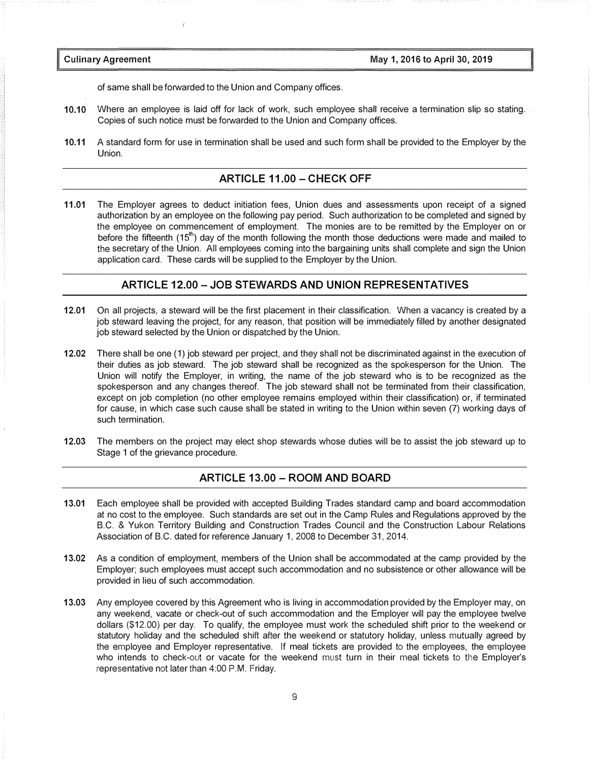of same shall be forwarded to the Union and Company offices.

- 10.10 Where an employee is laid off for lack of work, such employee shall receive a termination slip so stating. Copies of such notice must be forwarded to the Union and Company offices.
- 10.11 A standard form for use in termination shall be used and such form shall be provided to the Employer by the Union.

#### ARTICLE 11.00 - CHECK OFF

11.01 The Employer agrees to deduct initiation fees, Union dues and assessments upon receipt of a signed authorization by an employee on the following pay period. Such authorization to be completed and signed by the employee on commencement of employment. The monies are to be remitted by the Employer on or before the fifteenth  $(15<sup>th</sup>)$  day of the month following the month those deductions were made and mailed to the secretary of the Union. All employees coming into the bargaining units shall complete and sign the Union application card. These cards will be supplied to the Employer by the Union.

#### ARTICLE 12.00-JOB STEWARDS AND UNION REPRESENTATIVES

- 12.01 On all projects, a steward will be the first placement in their classification. When a vacancy is created by a job steward leaving the project, for any reason, that position will be immediately filled by another designated job steward selected by the Union or dispatched by the Union.
- 12.02 There shall be one (1) job steward per project, and they shall not be discriminated against in the execution of their duties as job steward. The job steward shall be recognized as the spokesperson for the Union. The Union will notify the Employer, in writing, the name of the job steward who is to be recognized as the spokesperson and any changes thereof. The job steward shall not be terminated from their classification, except on job completion (no other employee remains employed within their classification) or, if terminated for cause, in which case such cause shall be stated in writing to the Union within seven (7) working days of such termination.
- 12.03 The members on the project may elect shop stewards whose duties will be to assist the job steward up to Stage 1 of the grievance procedure.

#### ARTICLE 13.00 - ROOM AND BOARD

- 13.01 Each employee shall be provided with accepted Building Trades standard camp and board accommodation at no cost to the employee. Such standards are set out in the Camp Rules and Regulations approved by the B.C. & Yukon Territory Building and Construction Trades Council and the Construction Labour Relations Association of B.C. dated for reference January 1, 2008 to December 31, 2014.
- 13.02 As a condition of employment, members of the Union shall be accommodated at the camp provided by the Employer; such employees must accept such accommodation and no subsistence or other allowance will be provided in lieu of such accommodation.
- 13.03 Any employee covered by this Agreement who is living in accommodation provided by the Employer may, on any weekend, vacate or check-out of such accommodation and the Employer will pay the employee twelve dollars (\$12.00) per day. To qualify, the employee must work the scheduled shift prior to the weekend or statutory holiday and the scheduled shift after the weekend or statutory holiday, unless mutually agreed by the employee and Employer representative. If meal tickets are provided to the employees, the employee who intends to check-out or vacate for the weekend must turn in their meal tickets to the Employer's representative not later than 4:00 P.M. Friday.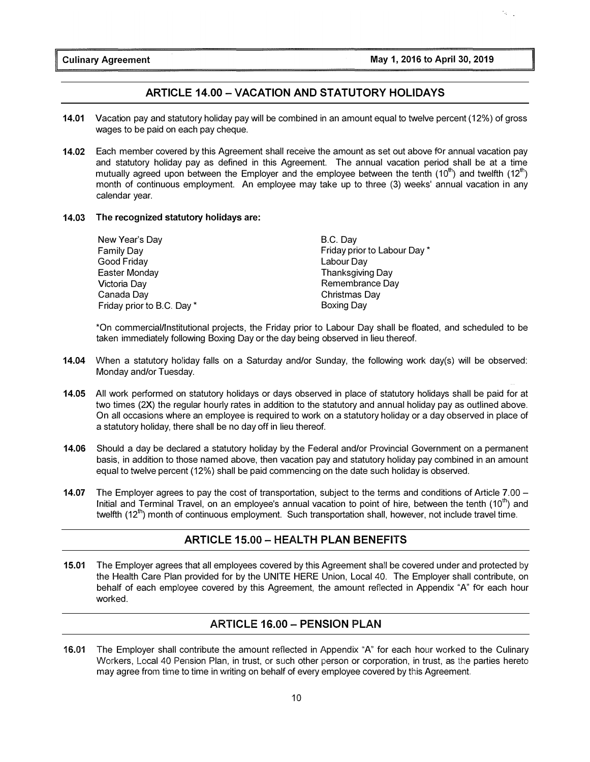#### ARTICLE 14.00-VACATION AND STATUTORY HOLIDAYS

- 14.01 Vacation pay and statutory holiday pay will be combined in an amount equal to twelve percent (12%) of gross wages to be paid on each pay cheque.
- 14.02 Each member covered by this Agreement shall receive the amount as set out above for annual vacation pay and statutory holiday pay as defined in this Agreement. The annual vacation period shall be at a time mutually agreed upon between the Employer and the employee between the tenth  $(10<sup>th</sup>)$  and twelfth  $(12<sup>th</sup>)$ month of continuous employment. An employee may take up to three (3) weeks' annual vacation in any calendar year.

#### 14.03 The recognized statutory holidays are:

| New Year's Day             | B.C. Dav                     |
|----------------------------|------------------------------|
| <b>Family Day</b>          | Friday prior to Labour Day * |
| Good Friday                | Labour Day                   |
| Easter Monday              | <b>Thanksgiving Day</b>      |
| Victoria Day               | Remembrance Day              |
| Canada Day                 | Christmas Day                |
| Friday prior to B.C. Day * | <b>Boxing Day</b>            |
|                            |                              |

\*On commercial/Institutional projects, the Friday prior to Labour Day shall be floated, and scheduled to be taken immediately following Boxing Day or the day being observed in lieu thereof.

- 14.04 When a statutory holiday falls on a Saturday and/or Sunday, the following work day(s) will be observed: Monday and/or Tuesday.
- 14.05 All work performed on statutory holidays or days observed in place of statutory holidays shall be paid for at two times (2X) the regular hourly rates in addition to the statutory and annual holiday pay as outlined above. On all occasions where an employee is required to work on a statutory holiday or a day observed in place of a statutory holiday, there shall be no day off in lieu thereof.
- 14.06 Should a day be declared a statutory holiday by the Federal and/or Provincial Government on a permanent basis, in addition to those named above, then vacation pay and statutory holiday pay combined in an amount equal to twelve percent (12%) shall be paid commencing on the date such holiday is observed.
- 14.07 The Employer agrees to pay the cost of transportation, subject to the terms and conditions of Article 7.00 Initial and Terminal Travel, on an employee's annual vacation to point of hire, between the tenth (10<sup>th</sup>) and twelfth (12th ) month of continuous employment. Such transportation shall, however, not include travel time.

#### ARTICLE 15.00 - HEALTH PLAN BENEFITS

15.01 The Employer agrees that all employees covered by this Agreement shall be covered under and protected by the Health Care Plan provided for by the UNITE HERE Union, Local 40. The Employer shall contribute, on behalf of each employee covered by this Agreement, the amount reflected in Appendix "A" for each hour worked.

#### ARTICLE 16.00 - PENSION PLAN

16.01 The Employer shall contribute the amount reflected in Appendix "A" for each hour worked to the Culinary Workers, Local 40 Pension Plan, in trust, or such other person or corporation, in trust, as the parties hereto may agree from time to time in writing on behalf of every employee covered by this Agreement.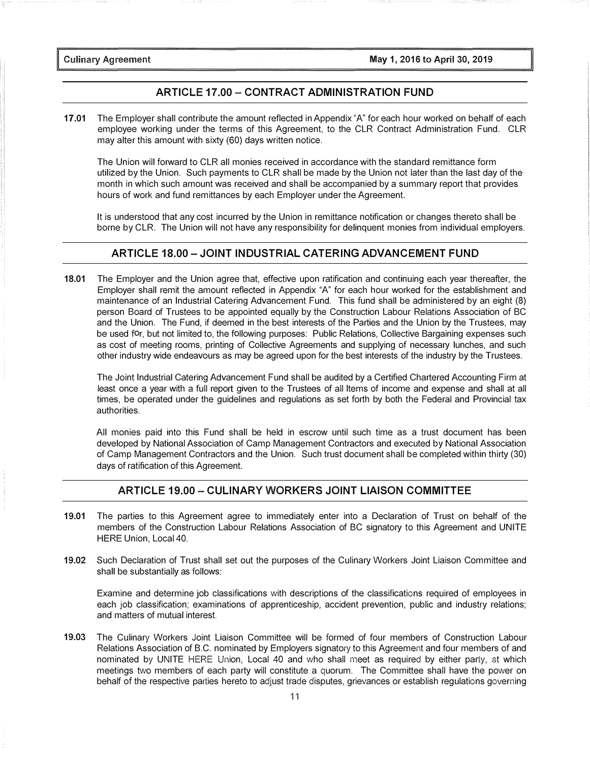**Culinary Agreement** 

#### ARTICLE 17.00-CONTRACT ADMINISTRATION FUND

17.01 The Employer shall contribute the amount reflected in Appendix "A" for each hour worked on behalf of each employee working under the terms of this Agreement, to the CLR Contract Administration Fund. CLR may alter this amount with sixty (60) days written notice.

The Union will forward to CLR all monies received in accordance with the standard remittance form utilized by the Union. Such payments to CLR shall be made by the Union not later than the last day of the month in which such amount was received and shall be accompanied by a summary report that provides hours of work and fund remittances by each Employer under the Agreement.

It is understood that any cost incurred by the Union in remittance notification or changes thereto shall be borne by CLR. The Union will not have any responsibility for delinquent monies from individual employers.

#### ARTICLE 18.00 - JOINT INDUSTRIAL CATERING ADVANCEMENT FUND

18.01 The Employer and the Union agree that, effective upon ratification and continuing each year thereafter, the Employer shall remit the amount reflected in Appendix "A" for each hour worked for the establishment and maintenance of an Industrial Catering Advancement Fund. This fund shall be administered by an eight (8) person Board of Trustees to be appointed equally by the Construction Labour Relations Association of BC and the Union. The Fund, if deemed in the best interests of the Parties and the Union by the Trustees, may be used for, but not limited to, the following purposes: Public Relations, Collective Bargaining expenses such as cost of meeting rooms, printing of Collective Agreements and supplying of necessary lunches, and such other industry wide endeavours as may be agreed upon for the best interests of the industry by the Trustees.

The Joint Industrial Catering Advancement Fund shall be audited by a Certified Chartered Accounting Firm at least once a year with a full report given to the Trustees of all Items of income and expense and shall at all times, be operated under the guidelines and regulations as set forth by both the Federal and Provincial tax authorities.

All monies paid into this Fund shall be held in escrow until such time as a trust document has been developed by National Association of Camp Management Contractors and executed by National Association of Camp Management Contractors and the Union. Such trust document shall be completed within thirty (30) days of ratification of this Agreement.

#### ARTICLE 19.00 - CULINARY WORKERS JOINT LIAISON COMMITTEE

- 19.01 The parties to this Agreement agree to immediately enter into a Declaration of Trust on behalf of the members of the Construction Labour Relations Association of BC signatory to this Agreement and UNITE HERE Union, Local 40.
- 19.02 Such Declaration of Trust shall set out the purposes of the Culinary Workers Joint Liaison Committee and shall be substantially as follows:

Examine and determine job classifications with descriptions of the classifications required of employees in each job classification; examinations of apprenticeship, accident prevention, public and industry relations; and matters of mutual interest.

19.03 The Culinary Workers Joint Liaison Committee will be formed of four members of Construction Labour Relations Association of B.C. nominated by Employers signatory to this Agreement and four members of and nominated by UNITE HERE Union, Local 40 and who shall meet as required by either party, at which meetings two members of each party will constitute a quorum. The Committee shall have the power on behalf of the respective parties hereto to adjust trade disputes, grievances or establish regulations governing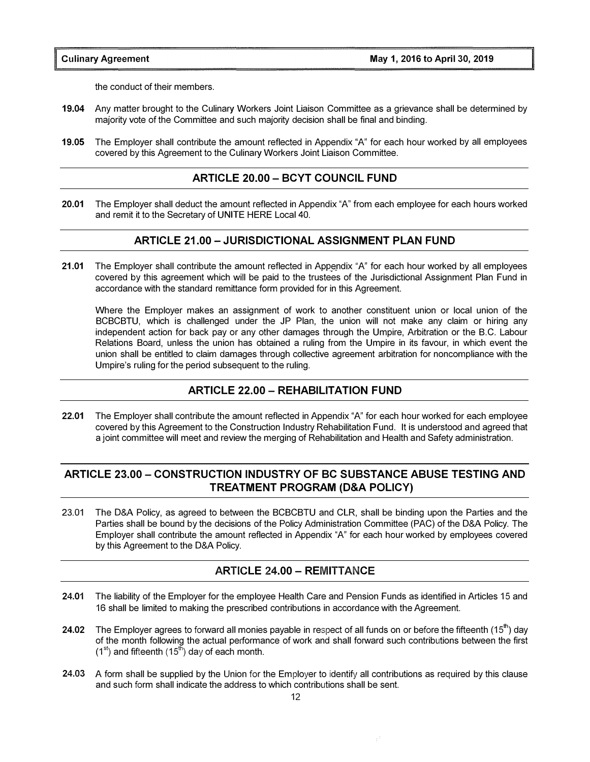the conduct of their members.

- 19.04 Any matter brought to the Culinary Workers Joint Liaison Committee as a grievance shall be determined by majority vote of the Committee and such majority decision shall be final and binding.
- 19.05 The Employer shall contribute the amount reflected in Appendix "A" for each hour worked by all employees covered by this Agreement to the Culinary Workers Joint Liaison Committee.

#### ARTICLE 20.00 - BCYT COUNCIL FUND

20.01 The Employer shall deduct the amount reflected in Appendix "A" from each employee for each hours worked and remit it to the Secretary of UNITE HERE Local 40.

#### ARTICLE 21.00 - JURISDICTIONAL ASSIGNMENT PLAN FUND

21.01 The Employer shall contribute the amount reflected in Appendix "A" for each hour worked by all employees covered by this agreement which will be paid to the trustees of the Jurisdictional Assignment Plan Fund in accordance with the standard remittance form provided for in this Agreement.

Where the Employer makes an assignment of work to another constituent union or local union of the BCBCBTU, which is challenged under the JP Plan, the union will not make any claim or hiring any independent action for back pay or any other damages through the Umpire, Arbitration or the B.C. Labour Relations Board, unless the union has obtained a ruling from the Umpire in its favour, in which event the union shall be entitled to claim damages through collective agreement arbitration for noncompliance with the Umpire's ruling for the period subsequent to the ruling.

#### ARTICLE 22.00- REHABILITATION FUND

22.01 The Employer shall contribute the amount reflected in Appendix "A" for each hour worked for each employee covered by this Agreement to the Construction Industry Rehabilitation Fund. It is understood and agreed that a joint committee will meet and review the merging of Rehabilitation and Health and Safety administration.

### ARTICLE 23.00 - CONSTRUCTION INDUSTRY OF BC SUBSTANCE ABUSE TESTING AND TREATMENT PROGRAM (D&A POLICY)

23.01 The D&A Policy, as agreed to between the BCBCBTU and CLR, shall be binding upon the Parties and the Parties shall be bound by the decisions of the Policy Administration Committee (PAC) of the D&A Policy. The Employer shall contribute the amount reflected in Appendix "A" for each hour worked by employees covered by this Agreement to the D&A Policy.

#### ARTICLE 24.00 - REMITTANCE

- 24.01 The liability of the Employer for the employee Health Care and Pension Funds as identified in Articles 15 and 16 shall be limited to making the prescribed contributions in accordance with the Agreement.
- 24.02 The Employer agrees to forward all monies payable in respect of all funds on or before the fifteenth  $(15<sup>th</sup>)$  day of the month following the actual performance of work and shall forward such contributions between the first  $(1^{st})$  and fifteenth  $(15^{th})$  day of each month.
- 24.03 A form shall be supplied by the Union for the Employer to identify all contributions as required by this clause and such form shall indicate the address to which contributions shall be sent.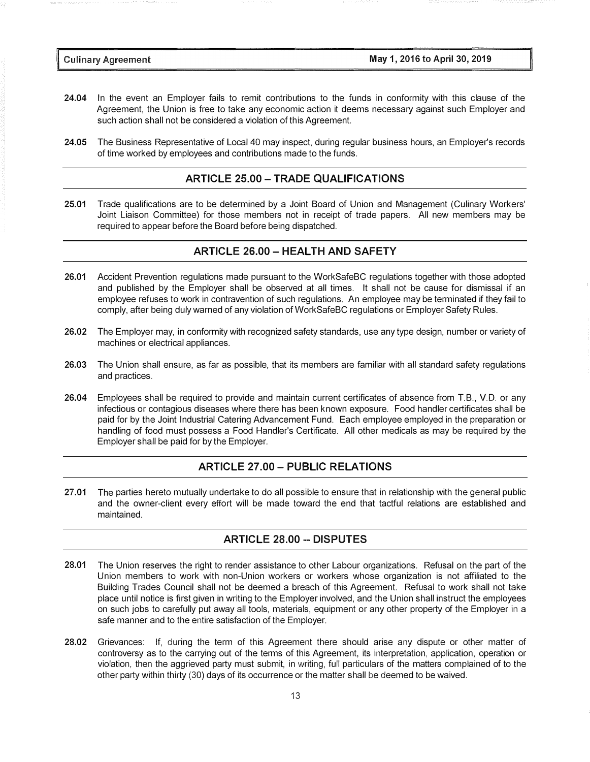- 24.04 In the event an Employer fails to remit contributions to the funds in conformity with this clause of the Agreement, the Union is free to take any economic action it deems necessary against such Employer and such action shall not be considered a violation of this Agreement.
- 24.05 The Business Representative of Local 40 may inspect, during regular business hours, an Employer's records of time worked by employees and contributions made to the funds.

#### ARTICLE 25.00-TRADE QUALIFICATIONS

25.01 Trade qualifications are to be determined by a Joint Board of Union and Management (Culinary Workers' Joint Liaison Committee) for those members not in receipt of trade papers. All new members may be required to appear before the Board before being dispatched.

#### ARTICLE 26.00 - HEALTH AND SAFETY

- 26.01 Accident Prevention regulations made pursuant to the WorkSafeBC regulations together with those adopted and published by the Employer shall be observed at all times. It shall not be cause for dismissal if an employee refuses to work in contravention of such regulations. An employee may be terminated if they fail to comply, after being duly warned of any violation of WorkSafeBC regulations or Employer Safety Rules.
- 26.02 The Employer may, in conformity with recognized safety standards, use any type design, number or variety of machines or electrical appliances.
- 26.03 The Union shall ensure, as far as possible, that its members are familiar with all standard safety regulations and practices.
- 26.04 Employees shall be required to provide and maintain current certificates of absence from T.B., V.D. or any infectious or contagious diseases where there has been known exposure. Food handler certificates shall be paid for by the Joint Industrial Catering Advancement Fund. Each employee employed in the preparation or handling of food must possess a Food Handler's Certificate. All other medicals as may be required by the Employer shall be paid for by the Employer.

#### ARTICLE 27.00-PUBLIC RELATIONS

27.01 The parties hereto mutually undertake to do all possible to ensure that in relationship with the general public and the owner-client every effort will be made toward the end that tactful relations are established and maintained.

#### ARTICLE 28.00 -- DISPUTES

- 28.01 The Union reserves the right to render assistance to other Labour organizations. Refusal on the part of the Union members to work with non-Union workers or workers whose organization is not affiliated to the Building Trades Council shall not be deemed a breach of this Agreement. Refusal to work shall not take place until notice is first given in writing to the Employer involved, and the Union shall instruct the employees on such jobs to carefully put away all tools, materials, equipment or any other property of the Employer in a safe manner and to the entire satisfaction of the Employer.
- 28.02 Grievances: If, during the term of this Agreement there should arise any dispute or other matter of controversy as to the carrying out of the terms of this Agreement, its interpretation, application, operation or violation, then the aggrieved party must submit, in writing, full particulars of the matters complained of to the other party within thirty (30) days of its occurrence or the matter shall be deemed to be waived.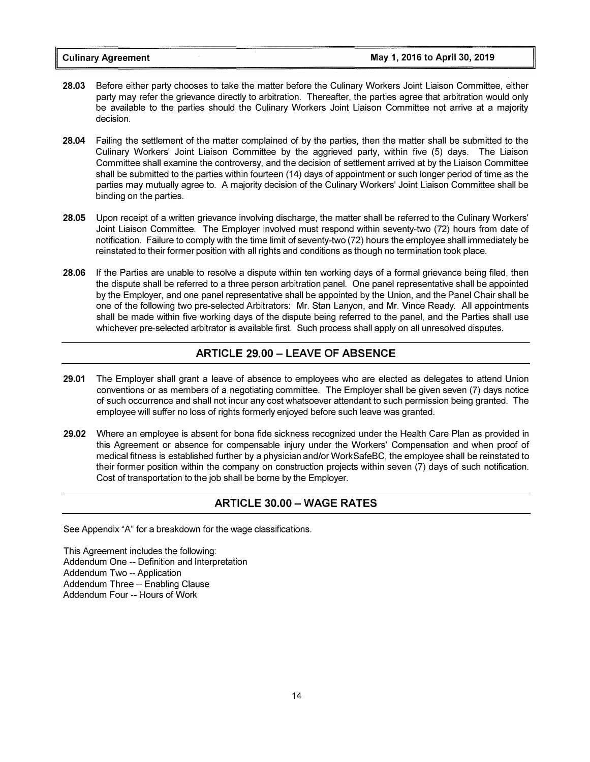- 28.03 Before either party chooses to take the matter before the Culinary Workers Joint Liaison Committee, either party may refer the grievance directly to arbitration. Thereafter, the parties agree that arbitration would only be available to the parties should the Culinary Workers Joint Liaison Committee not arrive at a majority decision.
- 28.04 Failing the settlement of the matter complained of by the parties, then the matter shall be submitted to the Culinary Workers' Joint Liaison Committee by the aggrieved party, within five (5) days. The Liaison Committee shall examine the controversy, and the decision of settlement arrived at by the Liaison Committee shall be submitted to the parties within fourteen (14) days of appointment or such longer period of time as the parties may mutually agree to. A majority decision of the Culinary Workers' Joint Liaison Committee shall be binding on the parties.
- 28.05 Upon receipt of a written grievance involving discharge, the matter shall be referred to the Culinary Workers' Joint Liaison Committee. The Employer involved must respond within seventy-two (72) hours from date of notification. Failure to comply with the time limit of seventy-two (72) hours the employee shall immediately be reinstated to their former position with all rights and conditions as though no termination took place.
- 28.06 If the Parties are unable to resolve a dispute within ten working days of a formal grievance being filed, then the dispute shall be referred to a three person arbitration panel. One panel representative shall be appointed by the Employer, and one panel representative shall be appointed by the Union, and the Panel Chair shall be one of the following two pre-selected Arbitrators: Mr. Stan Lanyon, and Mr. Vince Ready. All appointments shall be made within five working days of the dispute being referred to the panel, and the Parties shall use whichever pre-selected arbitrator is available first. Such process shall apply on all unresolved disputes.

#### ARTICLE 29.00 - LEAVE OF ABSENCE

- 29.01 The Employer shall grant a leave of absence to employees who are elected as delegates to attend Union conventions or as members of a negotiating committee. The Employer shall be given seven (7) days notice of such occurrence and shall not incur any cost whatsoever attendant to such permission being granted. The employee will suffer no loss of rights formerly enjoyed before such leave was granted.
- 29.02 Where an employee is absent for bona fide sickness recognized under the Health Care Plan as provided in this Agreement or absence for compensable injury under the Workers' Compensation and when proof of medical fitness is established further by a physician and/or WorkSafeBC, the employee shall be reinstated to their former position within the company on construction projects within seven (7) days of such notification. Cost of transportation to the job shall be borne by the Employer.

#### ARTICLE 30.00 - WAGE RATES

See Appendix "A" for a breakdown for the wage classifications.

This Agreement includes the following: Addendum One -- Definition and Interpretation Addendum Two --Application Addendum Three -- Enabling Clause Addendum Four -- Hours of Work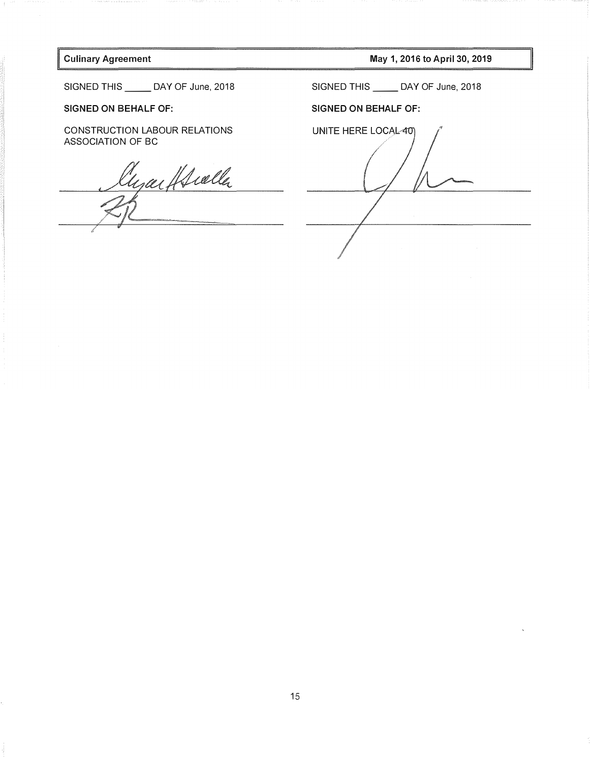#### Culinary Agreement

May 1, 2016 to April 30, 2019

SIGNED THIS \_\_\_\_\_\_ DAY OF June, 2018

#### SIGNED ON BEHALF OF:

CONSTRUCTION LABOUR RELATIONS ASSOCIATION OF BC

Cyarffralla

SIGNED THIS \_\_\_\_\_\_ DAY OF June, 2018

#### SIGNED ON BEHALF OF:

UNITE HERE LOCAL-40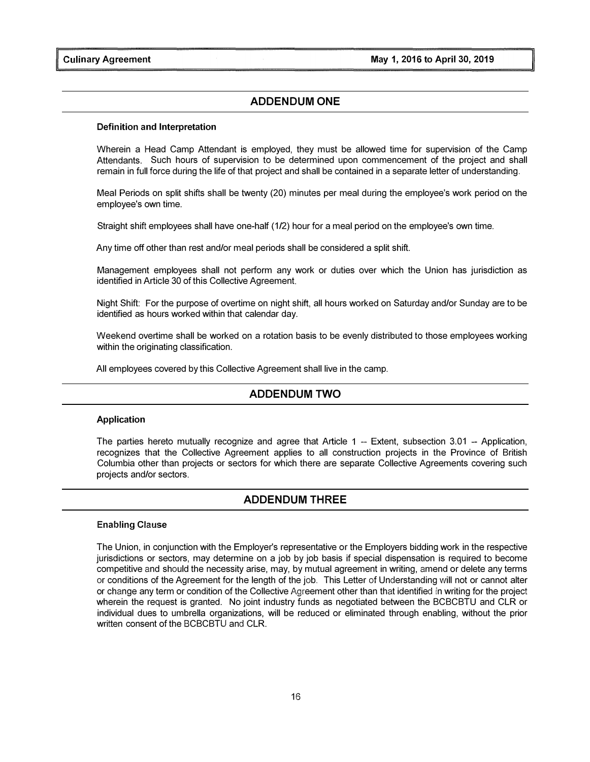#### ADDENDUM ONE

#### Definition and Interpretation

Wherein a Head Camp Attendant is employed, they must be allowed time for supervision of the Camp Attendants. Such hours of supervision to be determined upon commencement of the project and shall remain in full force during the life of that project and shall be contained in a separate letter of understanding.

Meal Periods on split shifts shall be twenty (20) minutes per meal during the employee's work period on the employee's own time.

Straight shift employees shall have one-half (1/2) hour for a meal period on the employee's own time.

Any time off other than rest and/or meal periods shall be considered a split shift.

Management employees shall not perform any work or duties over which the Union has jurisdiction as identified in Article 30 of this Collective Agreement.

Night Shift: For the purpose of overtime on night shift, all hours worked on Saturday and/or Sunday are to be identified as hours worked within that calendar day.

Weekend overtime shall be worked on a rotation basis to be evenly distributed to those employees working within the originating classification.

All employees covered by this Collective Agreement shall live in the camp.

#### ADDENDUM TWO

#### Application

The parties hereto mutually recognize and agree that Article 1 -- Extent, subsection 3.01 -- Application, recognizes that the Collective Agreement applies to all construction projects in the Province of British Columbia other than projects or sectors for which there are separate Collective Agreements covering such projects and/or sectors.

#### ADDENDUM THREE

#### Enabling Clause

The Union, in conjunction with the Employer's representative or the Employers bidding work in the respective jurisdictions or sectors, may determine on a job by job basis if special dispensation is required to become competitive and should the necessity arise, may, by mutual agreement in writing, amend or delete any terms or conditions of the Agreement for the length of the job. This Letter of Understanding will not or cannot alter or change any term or condition of the Collective Agreement other than that identified in writing for the project wherein the request is granted. No joint industry funds as negotiated between the BCBCBTU and CLR or individual dues to umbrella organizations, will be reduced or eliminated through enabling, without the prior written consent of the BCBCBTU and CLR.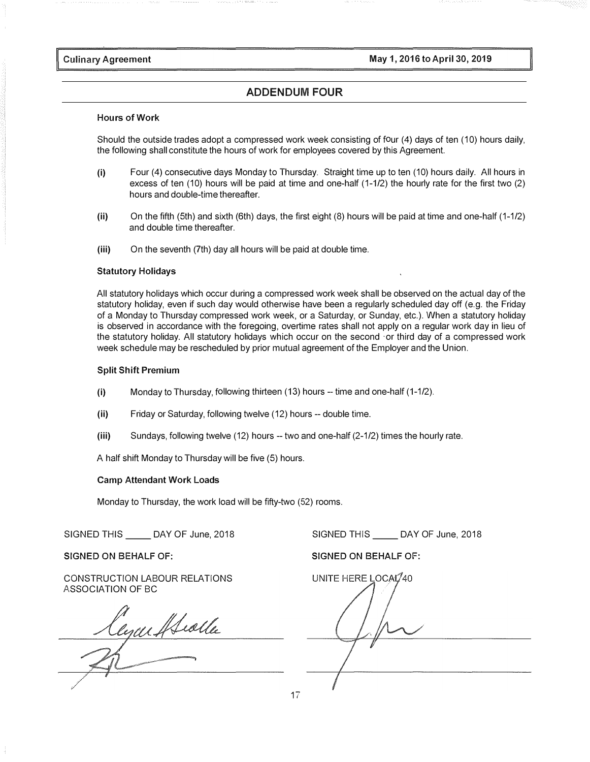Pulinary Agreement May 1, 2016 to April 30, 2019

#### ADDENDUM FOUR

#### Hours of Work

Should the outside trades adopt a compressed work week consisting of four (4) days of ten (10) hours daily, the following shall constitute the hours of work for employees covered by this Agreement.

- (i) Four (4) consecutive days Monday to Thursday. Straight time up to ten (10) hours daily. All hours in excess of ten (10) hours will be paid at time and one-half (1-1/2) the hourly rate for the first two (2) hours and double-time thereafter.
- (ii) On the fifth (5th) and sixth (6th) days, the first eight (8) hours will be paid at time and one-half (1-1/2) and double time thereafter.
- (iii) On the seventh (7th) day all hours will be paid at double time.

#### Statutory Holidays

All statutory holidays which occur during a compressed work week shall be observed on the actual day of the statutory holiday, even if such day would otherwise have been a regularly scheduled day off (e.g. the Friday of a Monday to Thursday compressed work week, or a Saturday, or Sunday, etc.). When a statutory holiday is observed in accordance with the foregoing, overtime rates shall not apply on a regular work day in lieu of the statutory holiday. All statutory holidays which occur on the second ·or third day of a compressed work week schedule may be rescheduled by prior mutual agreement of the Employer and the Union.

#### Split Shift Premium

- (i) Monday to Thursday, following thirteen (13) hours -- time and one-half (1-1/2).
- (ii) Friday or Saturday, following twelve (12) hours -- double time.
- (iii) Sundays, following twelve (12) hours -- two and one-half (2-1/2) times the hourly rate.

A half shift Monday to Thursday will be five (5) hours.

#### Camp Attendant Work Loads

Monday to Thursday, the work load will be fifty-two (52) rooms.

 $S$ IGNED THIS  $\rule{1em}{0.15mm}$  DAY OF June, 2018

SIGNED ON BEHALF OF:

CONSTRUCTION LABOUR RELATIONS

ASSOCIATION OF BC<br>Clyculffieldla

 $S$ IGNED THIS  $\rule{1em}{0.15mm}$  DAY OF June, 2018 SIGNED ON BEHALF OF:

UNITE HERE LOCAL/40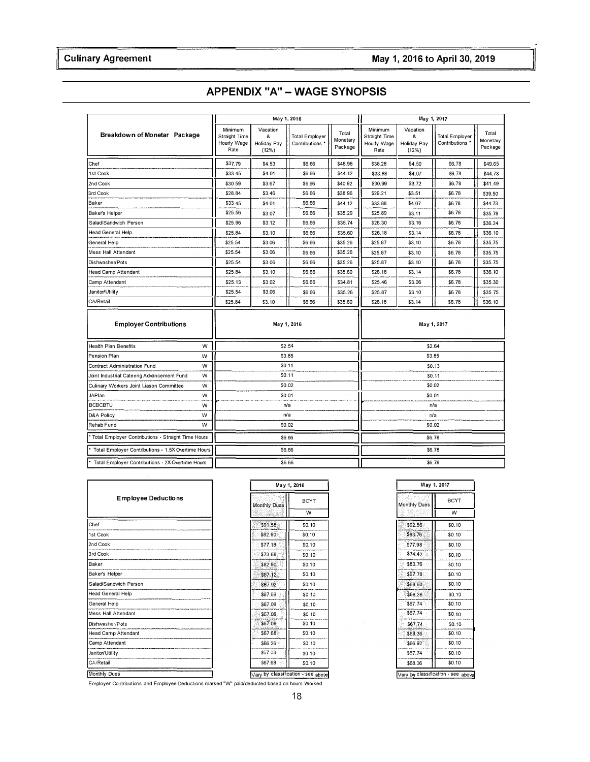| APPENDIX "A" – WAGE SYNOPSIS |  |  |  |
|------------------------------|--|--|--|
|------------------------------|--|--|--|

| ary Agreement                                      |                                                 |                                       |                                          |                              |                                                 |                                       | May 1, 2016 to April 30, 2019     |                              |
|----------------------------------------------------|-------------------------------------------------|---------------------------------------|------------------------------------------|------------------------------|-------------------------------------------------|---------------------------------------|-----------------------------------|------------------------------|
|                                                    |                                                 |                                       |                                          |                              |                                                 |                                       |                                   |                              |
|                                                    |                                                 |                                       | <b>APPENDIX "A" - WAGE SYNOPSIS</b>      |                              |                                                 |                                       |                                   |                              |
|                                                    |                                                 |                                       | May 1, 2016                              |                              |                                                 |                                       | May 1, 2017                       |                              |
| Breakdown of Monetar Package                       | Minimum<br>Straight Time<br>Hourly Wage<br>Rate | Vacation<br>8<br>Holiday Pay<br>(12%) | <b>Total Employer</b><br>Contributions ' | Total<br>Monetary<br>Package | Minimum<br>Straight Time<br>Hourly Wage<br>Rate | Vacation<br>&<br>Holiday Pay<br>(12%) | Total Employer<br>Contributions * | Total<br>Monetary<br>Package |
| Chef                                               | \$37,79                                         | \$4.53                                | \$6.66                                   | \$48.98                      | \$38.28                                         | \$4.59                                | \$6.78                            | \$49.65                      |
| 1st Cook                                           | \$33.45                                         | \$4.01                                | \$6.66                                   | \$44.12                      | \$33.88                                         | \$4.07                                | \$6.78                            | \$44.73                      |
| 2nd Cook                                           | \$30.59                                         | \$3.67                                | \$6.66                                   | \$40.92                      | \$30.99                                         | \$3.72                                | \$6.78                            | \$41.49                      |
| 3rd Cook                                           | \$28.84                                         | \$3.46                                | \$6.66                                   | \$38.96                      | \$29.21                                         | \$3.51                                | \$6.78                            | \$39.50                      |
| Baker                                              | \$33.45                                         | \$4.01                                | \$6.66                                   | \$44.12                      | \$33.88                                         | \$4.07                                | \$6,78                            | \$44.73                      |
| Baker's Helper                                     | \$25.56                                         | \$3.07                                | \$6.66                                   | \$35.29                      | \$25.89                                         | \$3.11                                | \$6.78                            | \$35.78                      |
| Salad/Sandwich Person                              | \$25.96                                         | \$3.12                                | \$6.66                                   | \$35.74                      | \$26.30                                         | \$3.16                                | \$6.78                            | \$36.24                      |
| <b>Head General Help</b>                           | \$25.84                                         | \$3.10                                | \$6,66                                   | \$35.60                      | \$26.18                                         | \$3.14                                | \$6.78                            | \$36.10                      |
| General Help                                       | \$25.54                                         | \$3.06                                | \$6.66                                   | \$35.26                      | \$25.87                                         | \$3.10                                | \$6.78                            | \$35,75                      |
| <b>Mess Hall Attendant</b>                         | \$25.54                                         | \$3.06                                | \$6.66                                   | \$35.26                      | \$25.87                                         | \$3.10                                | \$6.78                            | \$35.75                      |
| Dishwasher/Pots                                    | \$25.54                                         | \$3.06                                | \$6.66                                   | \$35.26                      | \$25.87                                         | \$3.10                                | \$6.78                            | \$35.75                      |
| <b>Head Camp Attendant</b>                         | \$25.84                                         | \$3.10                                | \$6,66                                   | \$35.60                      | \$26.18                                         | \$3.14                                | \$6.78                            | \$36.10                      |
| Camp Attendant                                     | \$25.13                                         | \$3.02                                | \$6.66                                   | \$34.81                      | \$25.46                                         | \$3.06                                | \$6.78                            | \$35.30                      |
| Janitor/Utility                                    | \$25.54                                         | \$3.06                                | \$6.66                                   | \$35.26                      | \$25.87                                         | \$3.10                                | \$6.78                            | \$35.75                      |
| CA/Retail                                          | \$25.84                                         | \$3.10                                | \$6.66                                   | \$35.60                      | \$26.18                                         | \$3.14                                | \$6.78                            | \$36.10                      |
| <b>Employer Contributions</b>                      |                                                 |                                       | May 1, 2016                              |                              |                                                 |                                       | May 1, 2017                       |                              |
| w<br><b>Health Plan Benefits</b>                   |                                                 |                                       | \$2.54                                   |                              | \$2.64                                          |                                       |                                   |                              |
| Pension Plan<br>W                                  |                                                 |                                       | \$3.85                                   |                              |                                                 |                                       | \$3.85                            |                              |
| W<br>Contract Administration Fund                  |                                                 |                                       | \$0.11                                   |                              |                                                 |                                       | \$0.13                            |                              |
| W<br>Joint Industrial Catering Advancement Fund    |                                                 |                                       | \$0.11                                   |                              |                                                 |                                       | \$0.11                            |                              |
| Culinary Workers Joint Liason Committee<br>W       |                                                 |                                       | \$0.02                                   |                              |                                                 |                                       | \$0.02                            |                              |
| <b>JAPlan</b><br>W                                 |                                                 |                                       | \$0.01                                   |                              |                                                 |                                       | \$0.01                            |                              |
| <b>BCBCBTU</b><br>W                                |                                                 |                                       | n/a                                      |                              |                                                 |                                       | n/a                               |                              |
| <b>D&amp;A Policy</b><br>W                         |                                                 |                                       | n/a                                      |                              |                                                 |                                       | n/a                               |                              |
| Rehab Fund<br>W                                    |                                                 |                                       | \$0.02                                   |                              |                                                 |                                       | \$0.02                            |                              |
| Total Employer Contributions - Straight Time Hours |                                                 |                                       | \$6.66                                   |                              |                                                 |                                       | \$6.78                            |                              |
| Total Employer Contributions - 1.5X Overtime Hours |                                                 |                                       | \$6.66                                   |                              |                                                 |                                       | \$6.78                            |                              |
| Total Employer Contributions - 2X Overtime Hours   |                                                 |                                       | \$6.66                                   |                              |                                                 |                                       | \$6.78                            |                              |

| <b>Employee Deductions</b> |
|----------------------------|
| Chef                       |
| 1st Cook                   |
| 2nd Cook                   |
| 3rd Cook                   |
| Baker                      |
| Baker's Helper             |
| Salad/Sandwich Person      |
| <b>Head General Help</b>   |
| General Help               |
| <b>Mess Hall Attendant</b> |
| Dishwasher/Pots            |
| <b>Head Camp Attendant</b> |
| Camp Attendant             |
| Janitor/Utility            |
| CA/Retail                  |
| <b>Monthly Dues</b>        |

| <b>Monthly Dues</b> | <b>BCYT</b> |
|---------------------|-------------|
|                     | W           |
| \$91.58             | \$0.10      |
| \$82.90             | \$0.10      |
| \$77.18             | \$0.10      |
| \$73.68             | \$0.10      |
| \$82.90             | \$0.10      |
| \$67.12             | \$0.10      |
| \$67.92             | \$0.10      |
| \$67.68             | \$0.10      |
| \$67.08             | \$0.10      |
| Ħ<br>\$67,08        | \$0.10      |
| \$67.08             | \$0.10      |
| \$67.68             | \$0.10      |
| \$66.26             | \$0.10      |
| \$67.08             | \$0.10      |
| \$67.68             | \$0.10      |

| May 1, 2017         |             |  |  |  |  |
|---------------------|-------------|--|--|--|--|
| <b>Monthly Dues</b> | <b>BCYT</b> |  |  |  |  |
|                     | W           |  |  |  |  |
| \$92,56             | \$0.10      |  |  |  |  |
| \$83.76             | \$0.10      |  |  |  |  |
| \$77.98             | \$0.10      |  |  |  |  |
| \$74 42             | \$0.10      |  |  |  |  |
| \$83.76             | \$0.10      |  |  |  |  |
| \$67.78             | \$0.10      |  |  |  |  |
| \$68,60             | \$0.10      |  |  |  |  |
| \$68.36             | \$0.10      |  |  |  |  |
| \$67.74             | \$0.10      |  |  |  |  |
| \$67.74             | \$0.10      |  |  |  |  |
| \$67.74             | SO.10       |  |  |  |  |
| \$68.36             | \$0.10      |  |  |  |  |
| \$66.92             | \$0.10      |  |  |  |  |
| \$67.74             | \$0.10      |  |  |  |  |
| \$68.36             | \$0.10      |  |  |  |  |

Employer Contributions and Employee Deductions marked "W" paid/deducted based on hours Worked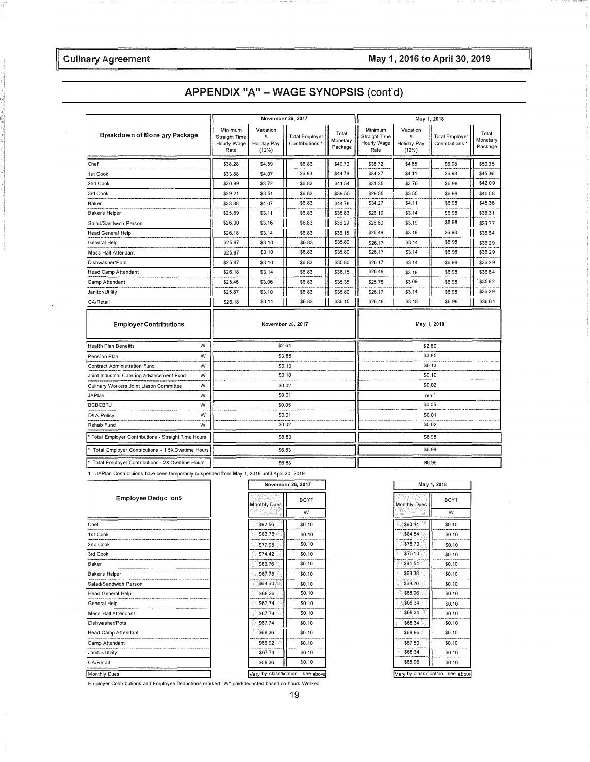### May 1, 2016 to April 30, 2019

### **Culinary Agreement**

|  |  |  | APPENDIX "A" - WAGE SYNOPSIS (cont'd) |  |
|--|--|--|---------------------------------------|--|
|--|--|--|---------------------------------------|--|

|                                                    |   |                                                        | November 26, 2017                     |                                         |                              | May 1, 2018                                     |                                              |                                          |                              |
|----------------------------------------------------|---|--------------------------------------------------------|---------------------------------------|-----------------------------------------|------------------------------|-------------------------------------------------|----------------------------------------------|------------------------------------------|------------------------------|
| Breakdown of Mone ary Package                      |   | Minimum<br><b>Straight Time</b><br>Hourly Wage<br>Rate | Vacation<br>&<br>Holiday Pay<br>(12%) | <b>Total Employer</b><br>Contributions* | Total<br>Monetary<br>Package | Minimum<br>Straight Time<br>Hourly Wage<br>Rate | Vacation<br>&<br><b>Holiday Pay</b><br>(12%) | <b>Total Employer</b><br>Contributions * | Total<br>Monetary<br>Package |
| Chef                                               |   | \$38.28                                                | \$4.59                                | \$6.83                                  | \$49.70                      | \$38.72                                         | \$4.65                                       | \$6.98                                   | \$50.35                      |
| 1st Cook                                           |   | \$33.88                                                | \$4.07                                | \$6.83                                  | \$44.78                      | \$34.27                                         | \$4.11                                       | \$6.98                                   | \$45.36                      |
| 2nd Cook                                           |   | \$30.99                                                | \$3.72                                | \$6.83                                  | \$41.54                      | \$31.35                                         | \$3.76                                       | \$6.98                                   | \$42.09                      |
| 3rd Cook                                           |   | \$29.21                                                | \$3.51                                | \$6.83                                  | \$39.55                      | \$29.55                                         | \$3.55                                       | \$6.98                                   | \$40.08                      |
| Baker                                              |   | \$33.88                                                | \$4.07                                | \$6.83                                  | \$44.78                      | \$34.27                                         | \$4.11                                       | \$6.98                                   | \$45.36                      |
| Baker's Helper                                     |   | \$25.89                                                | \$3.11                                | \$6.83                                  | \$35.83                      | \$26.19                                         | \$3.14                                       | \$6.98                                   | \$36.31                      |
| Salad/Sandwich Person                              |   | \$26.30                                                | \$3.16                                | \$6.83                                  | \$36.29                      | \$26,60                                         | \$3.19                                       | \$6.98                                   | \$36.77                      |
| <b>Head General Help</b>                           |   | \$26.18                                                | \$3.14                                | \$6.83                                  | \$36.15                      | \$26.48                                         | \$3.18                                       | \$6.98                                   | \$36.64                      |
| General Help                                       |   | \$25.87                                                | \$3.10                                | \$6.83                                  | \$35.80                      | \$26.17                                         | \$3.14                                       | \$6.98                                   | \$36.29                      |
| <b>Mess Hall Attendant</b>                         |   | \$25.87                                                | \$3.10                                | \$6.83                                  | \$35.80                      | \$26.17                                         | \$3.14                                       | \$6.98                                   | \$36.29                      |
| Dishwasher/Pots                                    |   | \$25.87                                                | \$3.10                                | \$6.83                                  | \$35.80                      | \$26.17                                         | \$3.14                                       | \$6.98                                   | \$36.29                      |
| <b>Head Camp Attendant</b>                         |   | \$26.18                                                | \$3.14                                | \$6.83                                  | \$36.15                      | \$26.48                                         | \$3.18                                       | \$6.98                                   | \$36.64                      |
| Camp Attendant                                     |   | \$25.46                                                | \$3.06                                | \$6.83                                  | \$35.35                      | \$25.75                                         | \$3.09                                       | \$6.98                                   | \$35.82                      |
| Janitor/Utility                                    |   | \$25.87                                                | \$3.10                                | \$6.83                                  | \$35.80                      | \$26.17                                         | \$3.14                                       | \$6.98                                   | \$36.29                      |
| CA/Retail                                          |   | \$26.18                                                | \$3.14                                | \$6.83                                  | \$36.15                      | \$26,48                                         | \$3.18                                       | \$6.98                                   | \$36.64                      |
| <b>Employer Contributions</b>                      |   |                                                        | November 26, 2017                     |                                         |                              |                                                 |                                              | May 1, 2018                              |                              |
| <b>Health Plan Benefits</b>                        | W |                                                        | \$2.64                                |                                         |                              |                                                 |                                              | \$2.80                                   |                              |
| Pension Plan                                       | W |                                                        | \$3.85                                |                                         |                              | \$3.85                                          |                                              |                                          |                              |
| Contract Administration Fund                       | W |                                                        | \$0.13                                |                                         |                              | \$0.13                                          |                                              |                                          |                              |
| Joint Industrial Catering Advancement Fund         | W |                                                        | \$0.10                                |                                         |                              | \$0.10                                          |                                              |                                          |                              |
| Culinary Workers Joint Liason Committee            | W |                                                        | \$0.02                                |                                         |                              | \$0.02                                          |                                              |                                          |                              |
| JAPlan                                             | W |                                                        | \$0.01                                |                                         |                              |                                                 | $n/a$ <sup>1</sup>                           |                                          |                              |
| <b>BCBCBTU</b>                                     | W |                                                        | \$0.05                                |                                         |                              |                                                 |                                              | \$0.05                                   |                              |
| D&A Policy                                         | W |                                                        | \$0.01                                |                                         |                              | \$0.01                                          |                                              |                                          |                              |
| Rehab Fund                                         | W |                                                        | \$0.02                                |                                         |                              | \$0.02                                          |                                              |                                          |                              |
| Total Employer Contributions - Straight Time Hours |   | \$6.83                                                 |                                       |                                         | \$6.98                       |                                                 |                                              |                                          |                              |
| Total Employer Contributions - 1.5X Overtime Hours |   | \$6.83                                                 |                                       |                                         |                              |                                                 |                                              | \$6.98                                   |                              |
| Total Employer Contributions - 2X Overtime Hours   |   | \$6.83                                                 |                                       |                                         | \$6.98                       |                                                 |                                              |                                          |                              |

1. JAPlan Contribtuions have been temporarily suspended from May 1, 2018 until April 30, 2019.

r

| <b>Employee Deduc ons</b>  |  |
|----------------------------|--|
| Chef                       |  |
| 1st Cook                   |  |
| 2nd Cook                   |  |
| 3rd Cook                   |  |
| Baker                      |  |
| Baker's Helper             |  |
| Salad/Sandwich Person      |  |
| <b>Head General Help</b>   |  |
| General Help               |  |
| <b>Mess Hall Attendant</b> |  |
| Dishwasher/Pots            |  |
| <b>Head Camp Attendant</b> |  |
| Camp Attendant             |  |
| Janitor/Utility            |  |
| CA/Retail                  |  |
| Monthly Dues               |  |

 $\hat{\boldsymbol{\theta}}$ 

 $\frac{1}{2}$ 

| <b>Monthly Dues</b> | <b>BCYT</b> |
|---------------------|-------------|
|                     | W           |
| \$92.56             | \$0.10      |
| \$83.76             | \$0.10      |
| \$77.98             | \$0.10      |
| \$74.42             | \$0.10      |
| \$83.76             | \$0.10      |
| \$67.78             | \$0.10      |
| \$68,60             | \$0.10      |
| \$68.36             | \$0.10      |
| \$67.74             | \$0.10      |
| \$67.74             | \$0.10      |
| \$67.74             | \$0.10      |
| \$68.36             | \$0.10      |
| \$66.92             | \$0.10      |
| \$67.74             | SO.10       |
| \$68.36             | SO.10       |

| May 1, 2018                        |              |
|------------------------------------|--------------|
| Monthly Dues                       | <b>BCYT</b>  |
|                                    | W            |
| \$93.44                            | \$0.10       |
| \$84.54                            | \$0.10       |
| \$78.70                            | \$0.10       |
| \$75.10                            | \$0.10       |
| \$84.54                            | \$0.10       |
| \$68.38                            | \$0.10       |
| \$69.20                            | \$0.10       |
| \$68.96                            | <b>SO.10</b> |
| \$68.34                            | \$0.10       |
| \$68.34                            | \$0.10       |
| \$68.34                            | \$0.10       |
| \$68.96                            | \$0.10       |
| \$67.50                            | \$0.10       |
| \$68.34                            | \$0.10       |
| \$68.96                            | \$0.10       |
| √ary by classification - see above |              |

Employer Contributions and Employee Deductions marked "W" paid/deducted based on hours Worked